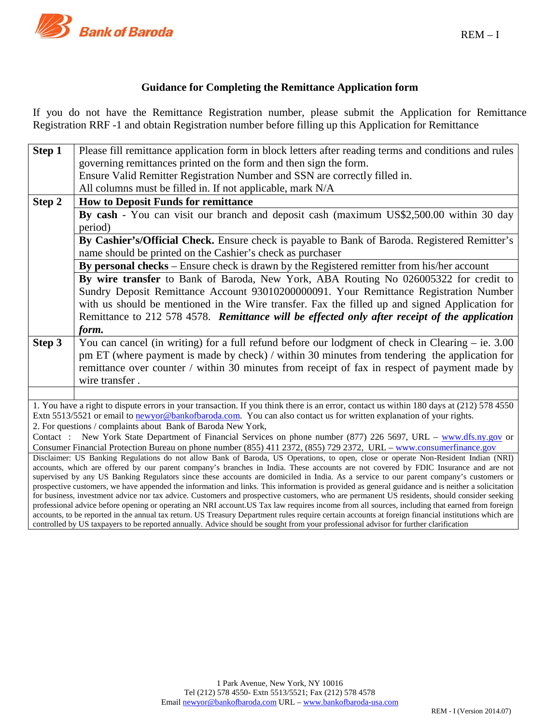

# **Guidance for Completing the Remittance Application form**

If you do not have the Remittance Registration number, please submit the Application for Remittance Registration RRF -1 and obtain Registration number before filling up this Application for Remittance

| Step 1                                                                                                                                                                                                                                                                                                  | Please fill remittance application form in block letters after reading terms and conditions and rules                                   |  |  |  |  |  |  |  |
|---------------------------------------------------------------------------------------------------------------------------------------------------------------------------------------------------------------------------------------------------------------------------------------------------------|-----------------------------------------------------------------------------------------------------------------------------------------|--|--|--|--|--|--|--|
|                                                                                                                                                                                                                                                                                                         | governing remittances printed on the form and then sign the form.                                                                       |  |  |  |  |  |  |  |
|                                                                                                                                                                                                                                                                                                         | Ensure Valid Remitter Registration Number and SSN are correctly filled in.                                                              |  |  |  |  |  |  |  |
|                                                                                                                                                                                                                                                                                                         | All columns must be filled in. If not applicable, mark N/A                                                                              |  |  |  |  |  |  |  |
| Step 2                                                                                                                                                                                                                                                                                                  | <b>How to Deposit Funds for remittance</b>                                                                                              |  |  |  |  |  |  |  |
|                                                                                                                                                                                                                                                                                                         | By cash - You can visit our branch and deposit cash (maximum US\$2,500.00 within 30 day                                                 |  |  |  |  |  |  |  |
|                                                                                                                                                                                                                                                                                                         | period)                                                                                                                                 |  |  |  |  |  |  |  |
|                                                                                                                                                                                                                                                                                                         | By Cashier's/Official Check. Ensure check is payable to Bank of Baroda. Registered Remitter's                                           |  |  |  |  |  |  |  |
|                                                                                                                                                                                                                                                                                                         | name should be printed on the Cashier's check as purchaser                                                                              |  |  |  |  |  |  |  |
|                                                                                                                                                                                                                                                                                                         | By personal checks – Ensure check is drawn by the Registered remitter from his/her account                                              |  |  |  |  |  |  |  |
|                                                                                                                                                                                                                                                                                                         | By wire transfer to Bank of Baroda, New York, ABA Routing No 026005322 for credit to                                                    |  |  |  |  |  |  |  |
|                                                                                                                                                                                                                                                                                                         | Sundry Deposit Remittance Account 93010200000091. Your Remittance Registration Number                                                   |  |  |  |  |  |  |  |
|                                                                                                                                                                                                                                                                                                         | with us should be mentioned in the Wire transfer. Fax the filled up and signed Application for                                          |  |  |  |  |  |  |  |
|                                                                                                                                                                                                                                                                                                         | Remittance to 212 578 4578. Remittance will be effected only after receipt of the application                                           |  |  |  |  |  |  |  |
|                                                                                                                                                                                                                                                                                                         | form.                                                                                                                                   |  |  |  |  |  |  |  |
| Step 3                                                                                                                                                                                                                                                                                                  | You can cancel (in writing) for a full refund before our lodgment of check in Clearing $-$ ie. 3.00                                     |  |  |  |  |  |  |  |
|                                                                                                                                                                                                                                                                                                         | pm ET (where payment is made by check) / within 30 minutes from tendering the application for                                           |  |  |  |  |  |  |  |
|                                                                                                                                                                                                                                                                                                         | remittance over counter / within 30 minutes from receipt of fax in respect of payment made by                                           |  |  |  |  |  |  |  |
|                                                                                                                                                                                                                                                                                                         | wire transfer.                                                                                                                          |  |  |  |  |  |  |  |
|                                                                                                                                                                                                                                                                                                         |                                                                                                                                         |  |  |  |  |  |  |  |
|                                                                                                                                                                                                                                                                                                         | 1. You have a right to dispute errors in your transaction. If you think there is an error, contact us within 180 days at (212) 578 4550 |  |  |  |  |  |  |  |
|                                                                                                                                                                                                                                                                                                         | Extn 5513/5521 or email to newyor@bankofbaroda.com. You can also contact us for written explanation of your rights.                     |  |  |  |  |  |  |  |
| 2. For questions / complaints about Bank of Baroda New York,                                                                                                                                                                                                                                            |                                                                                                                                         |  |  |  |  |  |  |  |
| Contact: New York State Department of Financial Services on phone number (877) 226 5697, URL – www.dfs.ny.gov or                                                                                                                                                                                        |                                                                                                                                         |  |  |  |  |  |  |  |
| Consumer Financial Protection Bureau on phone number (855) 411 2372, (855) 729 2372, URL – www.consumerfinance.gov                                                                                                                                                                                      |                                                                                                                                         |  |  |  |  |  |  |  |
| Disclaimer: US Banking Regulations do not allow Bank of Baroda, US Operations, to open, close or operate Non-Resident Indian (NRI)<br>accounts, which are offered by our parent company's branches in India. These accounts are not covered by FDIC Insurance and are not                               |                                                                                                                                         |  |  |  |  |  |  |  |
| supervised by any US Banking Regulators since these accounts are domiciled in India. As a service to our parent company's customers or                                                                                                                                                                  |                                                                                                                                         |  |  |  |  |  |  |  |
| prospective customers, we have appended the information and links. This information is provided as general guidance and is neither a solicitation                                                                                                                                                       |                                                                                                                                         |  |  |  |  |  |  |  |
| for business, investment advice nor tax advice. Customers and prospective customers, who are permanent US residents, should consider seeking                                                                                                                                                            |                                                                                                                                         |  |  |  |  |  |  |  |
| professional advice before opening or operating an NRI account. US Tax law requires income from all sources, including that earned from foreign<br>accounts, to be reported in the annual tax return. US Treasury Department rules require certain accounts at foreign financial institutions which are |                                                                                                                                         |  |  |  |  |  |  |  |
| controlled by US taxpayers to be reported annually. Advice should be sought from your professional advisor for further clarification                                                                                                                                                                    |                                                                                                                                         |  |  |  |  |  |  |  |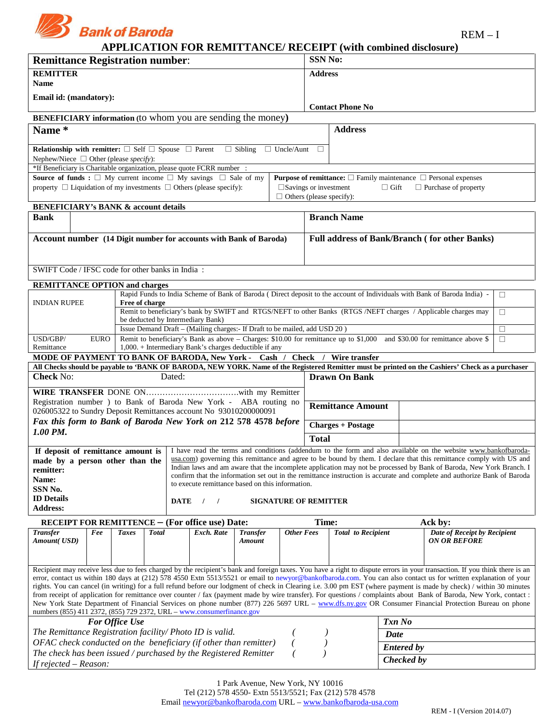

REM – I

# **APPLICATION FOR REMITTANCE/ RECEIPT (with combined disclosure)**

| <b>Remittance Registration number:</b>                                                                                                                                                                                                                                                                                                  |                                                                                  |                |              |        |                                                                             | <b>SSN No:</b>                                                                                                   |                         |                                               |                           |  |                                                                                                                                                                                                                                                                                                                                                  |        |
|-----------------------------------------------------------------------------------------------------------------------------------------------------------------------------------------------------------------------------------------------------------------------------------------------------------------------------------------|----------------------------------------------------------------------------------|----------------|--------------|--------|-----------------------------------------------------------------------------|------------------------------------------------------------------------------------------------------------------|-------------------------|-----------------------------------------------|---------------------------|--|--------------------------------------------------------------------------------------------------------------------------------------------------------------------------------------------------------------------------------------------------------------------------------------------------------------------------------------------------|--------|
| <b>REMITTER</b><br>Name                                                                                                                                                                                                                                                                                                                 |                                                                                  |                |              |        |                                                                             |                                                                                                                  |                         | <b>Address</b>                                |                           |  |                                                                                                                                                                                                                                                                                                                                                  |        |
| Email id: (mandatory):                                                                                                                                                                                                                                                                                                                  |                                                                                  |                |              |        |                                                                             |                                                                                                                  |                         |                                               |                           |  |                                                                                                                                                                                                                                                                                                                                                  |        |
|                                                                                                                                                                                                                                                                                                                                         |                                                                                  |                |              |        |                                                                             |                                                                                                                  | <b>Contact Phone No</b> |                                               |                           |  |                                                                                                                                                                                                                                                                                                                                                  |        |
| <b>BENEFICIARY</b> information (to whom you are sending the money)                                                                                                                                                                                                                                                                      |                                                                                  |                |              |        |                                                                             |                                                                                                                  |                         |                                               |                           |  |                                                                                                                                                                                                                                                                                                                                                  |        |
| Name*                                                                                                                                                                                                                                                                                                                                   |                                                                                  |                |              |        |                                                                             |                                                                                                                  |                         |                                               | <b>Address</b>            |  |                                                                                                                                                                                                                                                                                                                                                  |        |
| <b>Relationship with remitter:</b> $\square$ Self $\square$ Spouse $\square$ Parent $\square$ Sibling $\square$ Uncle/Aunt                                                                                                                                                                                                              |                                                                                  |                |              |        |                                                                             |                                                                                                                  |                         | $\Box$                                        |                           |  |                                                                                                                                                                                                                                                                                                                                                  |        |
| Nephew/Niece $\Box$ Other (please specify):<br>*If Beneficiary is Charitable organization, please quote FCRR number :                                                                                                                                                                                                                   |                                                                                  |                |              |        |                                                                             |                                                                                                                  |                         |                                               |                           |  |                                                                                                                                                                                                                                                                                                                                                  |        |
| Source of funds : $\Box$ My current income $\Box$ My savings $\Box$ Sale of my                                                                                                                                                                                                                                                          |                                                                                  |                |              |        |                                                                             |                                                                                                                  |                         |                                               |                           |  | <b>Purpose of remittance:</b> $\square$ Family maintenance $\square$ Personal expenses                                                                                                                                                                                                                                                           |        |
| property $\Box$ Liquidation of my investments $\Box$ Others (please specify):                                                                                                                                                                                                                                                           |                                                                                  |                |              |        |                                                                             | $\square$ Savings or investment<br>$\Box$ Gift<br>$\Box$ Purchase of property<br>$\Box$ Others (please specify): |                         |                                               |                           |  |                                                                                                                                                                                                                                                                                                                                                  |        |
| <b>BENEFICIARY's BANK &amp; account details</b>                                                                                                                                                                                                                                                                                         |                                                                                  |                |              |        |                                                                             |                                                                                                                  |                         |                                               |                           |  |                                                                                                                                                                                                                                                                                                                                                  |        |
| <b>Bank</b>                                                                                                                                                                                                                                                                                                                             |                                                                                  |                |              |        |                                                                             |                                                                                                                  |                         |                                               | <b>Branch Name</b>        |  |                                                                                                                                                                                                                                                                                                                                                  |        |
| Account number (14 Digit number for accounts with Bank of Baroda)                                                                                                                                                                                                                                                                       |                                                                                  |                |              |        |                                                                             |                                                                                                                  |                         | Full address of Bank/Branch (for other Banks) |                           |  |                                                                                                                                                                                                                                                                                                                                                  |        |
|                                                                                                                                                                                                                                                                                                                                         |                                                                                  |                |              |        |                                                                             |                                                                                                                  |                         |                                               |                           |  |                                                                                                                                                                                                                                                                                                                                                  |        |
| SWIFT Code / IFSC code for other banks in India :                                                                                                                                                                                                                                                                                       |                                                                                  |                |              |        |                                                                             |                                                                                                                  |                         |                                               |                           |  |                                                                                                                                                                                                                                                                                                                                                  |        |
| <b>REMITTANCE OPTION and charges</b>                                                                                                                                                                                                                                                                                                    |                                                                                  |                |              |        |                                                                             |                                                                                                                  |                         |                                               |                           |  | Rapid Funds to India Scheme of Bank of Baroda (Direct deposit to the account of Individuals with Bank of Baroda India) -                                                                                                                                                                                                                         | $\Box$ |
| <b>INDIAN RUPEE</b>                                                                                                                                                                                                                                                                                                                     |                                                                                  | Free of charge |              |        |                                                                             |                                                                                                                  |                         |                                               |                           |  |                                                                                                                                                                                                                                                                                                                                                  |        |
|                                                                                                                                                                                                                                                                                                                                         |                                                                                  |                |              |        | be deducted by Intermediary Bank)                                           |                                                                                                                  |                         |                                               |                           |  | Remit to beneficiary's bank by SWIFT and RTGS/NEFT to other Banks (RTGS /NEFT charges / Applicable charges may                                                                                                                                                                                                                                   | $\Box$ |
|                                                                                                                                                                                                                                                                                                                                         |                                                                                  |                |              |        | Issue Demand Draft - (Mailing charges: - If Draft to be mailed, add USD 20) |                                                                                                                  |                         |                                               |                           |  |                                                                                                                                                                                                                                                                                                                                                  | $\Box$ |
| USD/GBP/<br>Remittance                                                                                                                                                                                                                                                                                                                  | <b>EURO</b>                                                                      |                |              |        | 1,000. + Intermediary Bank's charges deductible if any                      |                                                                                                                  |                         |                                               |                           |  | Remit to beneficiary's Bank as above – Charges: \$10.00 for remittance up to \$1,000 and \$30.00 for remittance above \$                                                                                                                                                                                                                         | $\Box$ |
| MODE OF PAYMENT TO BANK OF BARODA, New York - Cash / Check / Wire transfer                                                                                                                                                                                                                                                              |                                                                                  |                |              |        |                                                                             |                                                                                                                  |                         |                                               |                           |  |                                                                                                                                                                                                                                                                                                                                                  |        |
| <b>Check No:</b>                                                                                                                                                                                                                                                                                                                        |                                                                                  |                |              | Dated: |                                                                             |                                                                                                                  |                         |                                               | <b>Drawn On Bank</b>      |  | All Checks should be payable to 'BANK OF BARODA, NEW YORK. Name of the Registered Remitter must be printed on the Cashiers' Check as a purchaser                                                                                                                                                                                                 |        |
|                                                                                                                                                                                                                                                                                                                                         |                                                                                  |                |              |        |                                                                             |                                                                                                                  |                         |                                               |                           |  |                                                                                                                                                                                                                                                                                                                                                  |        |
| Registration number ) to Bank of Baroda New York - ABA routing no                                                                                                                                                                                                                                                                       |                                                                                  |                |              |        |                                                                             |                                                                                                                  |                         |                                               |                           |  |                                                                                                                                                                                                                                                                                                                                                  |        |
| 026005322 to Sundry Deposit Remittances account No 93010200000091                                                                                                                                                                                                                                                                       |                                                                                  |                |              |        |                                                                             |                                                                                                                  |                         |                                               | <b>Remittance Amount</b>  |  |                                                                                                                                                                                                                                                                                                                                                  |        |
| Fax this form to Bank of Baroda New York on 212 578 4578 before<br>1.00 PM.                                                                                                                                                                                                                                                             |                                                                                  |                |              |        |                                                                             |                                                                                                                  |                         |                                               | <b>Charges + Postage</b>  |  |                                                                                                                                                                                                                                                                                                                                                  |        |
|                                                                                                                                                                                                                                                                                                                                         |                                                                                  |                |              |        |                                                                             |                                                                                                                  |                         | <b>Total</b>                                  |                           |  |                                                                                                                                                                                                                                                                                                                                                  |        |
|                                                                                                                                                                                                                                                                                                                                         |                                                                                  |                |              |        |                                                                             |                                                                                                                  |                         |                                               |                           |  | If deposit of remittance amount is   I have read the terms and conditions (addendum to the form and also available on the website www.bankofbaroda-<br><b>made by a person other than the</b> $\frac{1 \text{ usa.com}}{2 \text{ m}}$ governing this remittance and agree to be bound by them. I declare that this remittance comply with US and |        |
| remitter:                                                                                                                                                                                                                                                                                                                               |                                                                                  |                |              |        |                                                                             |                                                                                                                  |                         |                                               |                           |  | Indian laws and am aware that the incomplete application may not be processed by Bank of Baroda, New York Branch. I                                                                                                                                                                                                                              |        |
| Name:                                                                                                                                                                                                                                                                                                                                   |                                                                                  |                |              |        | to execute remittance based on this information.                            |                                                                                                                  |                         |                                               |                           |  | confirm that the information set out in the remittance instruction is accurate and complete and authorize Bank of Baroda                                                                                                                                                                                                                         |        |
| <b>ID</b> Details                                                                                                                                                                                                                                                                                                                       | SSN No.<br><b>DATE</b><br><b>SIGNATURE OF REMITTER</b><br>$\sqrt{ }$<br>$\prime$ |                |              |        |                                                                             |                                                                                                                  |                         |                                               |                           |  |                                                                                                                                                                                                                                                                                                                                                  |        |
| <b>Address:</b>                                                                                                                                                                                                                                                                                                                         |                                                                                  |                |              |        |                                                                             |                                                                                                                  |                         |                                               |                           |  |                                                                                                                                                                                                                                                                                                                                                  |        |
| <b>RECEIPT FOR REMITTENCE - (For office use) Date:</b>                                                                                                                                                                                                                                                                                  |                                                                                  |                |              |        |                                                                             |                                                                                                                  |                         | Time:                                         |                           |  | Ack by:                                                                                                                                                                                                                                                                                                                                          |        |
| <b>Transfer</b><br><b>Amount(USD)</b>                                                                                                                                                                                                                                                                                                   | Fee                                                                              | <b>Taxes</b>   | <b>Total</b> |        | Exch. Rate                                                                  | <b>Transfer</b><br><b>Amount</b>                                                                                 | <b>Other Fees</b>       |                                               | <b>Total</b> to Recipient |  | Date of Receipt by Recipient<br><b>ON OR BEFORE</b>                                                                                                                                                                                                                                                                                              |        |
|                                                                                                                                                                                                                                                                                                                                         |                                                                                  |                |              |        |                                                                             |                                                                                                                  |                         |                                               |                           |  |                                                                                                                                                                                                                                                                                                                                                  |        |
| Recipient may receive less due to fees charged by the recipient's bank and foreign taxes. You have a right to dispute errors in your transaction. If you think there is an                                                                                                                                                              |                                                                                  |                |              |        |                                                                             |                                                                                                                  |                         |                                               |                           |  |                                                                                                                                                                                                                                                                                                                                                  |        |
| error, contact us within 180 days at (212) 578 4550 Extn 5513/5521 or email to newyor@bankofbaroda.com. You can also contact us for written explanation of your<br>rights. You can cancel (in writing) for a full refund before our lodgment of check in Clearing i.e. 3.00 pm EST (where payment is made by check) / within 30 minutes |                                                                                  |                |              |        |                                                                             |                                                                                                                  |                         |                                               |                           |  |                                                                                                                                                                                                                                                                                                                                                  |        |
| from receipt of application for remittance over counter / fax (payment made by wire transfer). For questions / complaints about Bank of Baroda, New York, contact :                                                                                                                                                                     |                                                                                  |                |              |        |                                                                             |                                                                                                                  |                         |                                               |                           |  |                                                                                                                                                                                                                                                                                                                                                  |        |
| New York State Department of Financial Services on phone number (877) 226 5697 URL – www.dfs.ny.gov OR Consumer Financial Protection Bureau on phone<br>numbers (855) 411 2372, (855) 729 2372, URL – www.consumerfinance.gov                                                                                                           |                                                                                  |                |              |        |                                                                             |                                                                                                                  |                         |                                               |                           |  |                                                                                                                                                                                                                                                                                                                                                  |        |
| <b>For Office Use</b><br>Txn No                                                                                                                                                                                                                                                                                                         |                                                                                  |                |              |        |                                                                             |                                                                                                                  |                         |                                               |                           |  |                                                                                                                                                                                                                                                                                                                                                  |        |
| The Remittance Registration facility/ Photo ID is valid.<br>Date                                                                                                                                                                                                                                                                        |                                                                                  |                |              |        |                                                                             |                                                                                                                  |                         |                                               |                           |  |                                                                                                                                                                                                                                                                                                                                                  |        |
| OFAC check conducted on the beneficiary (if other than remitter)<br><b>Entered by</b><br>The check has been issued / purchased by the Registered Remitter                                                                                                                                                                               |                                                                                  |                |              |        |                                                                             |                                                                                                                  |                         |                                               |                           |  |                                                                                                                                                                                                                                                                                                                                                  |        |
| Checked by<br>If rejected $-$ Reason:                                                                                                                                                                                                                                                                                                   |                                                                                  |                |              |        |                                                                             |                                                                                                                  |                         |                                               |                           |  |                                                                                                                                                                                                                                                                                                                                                  |        |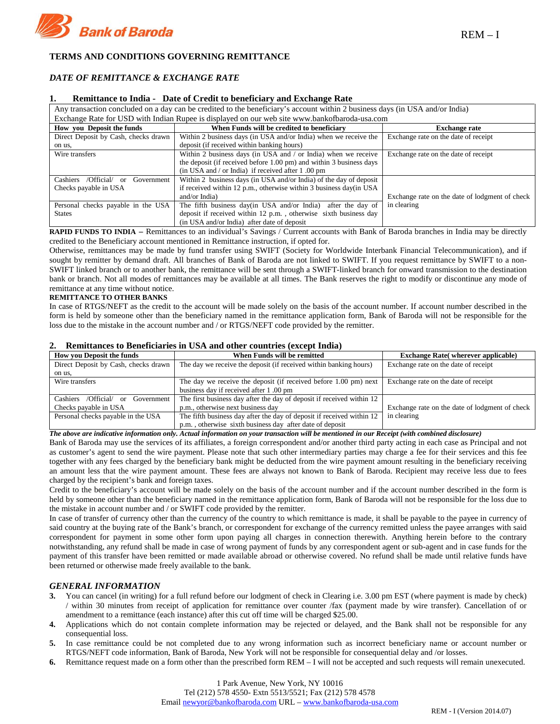

## **TERMS AND CONDITIONS GOVERNING REMITTANCE**

# *DATE OF REMITTANCE & EXCHANGE RATE*

#### **1. Remittance to India - Date of Credit to beneficiary and Exchange Rate**

| Any transaction concluded on a day can be credited to the beneficiary's account within 2 business days (in USA and/or India) |                                                                     |                                                |  |  |  |  |  |
|------------------------------------------------------------------------------------------------------------------------------|---------------------------------------------------------------------|------------------------------------------------|--|--|--|--|--|
| Exchange Rate for USD with Indian Rupee is displayed on our web site www.bankofbaroda-usa.com                                |                                                                     |                                                |  |  |  |  |  |
| How you Deposit the funds                                                                                                    | When Funds will be credited to beneficiary                          | <b>Exchange rate</b>                           |  |  |  |  |  |
| Direct Deposit by Cash, checks drawn                                                                                         | Within 2 business days (in USA and/or India) when we receive the    | Exchange rate on the date of receipt           |  |  |  |  |  |
| on us,                                                                                                                       | deposit (if received within banking hours)                          |                                                |  |  |  |  |  |
| Wire transfers                                                                                                               | Within 2 business days (in USA and / or India) when we receive      | Exchange rate on the date of receipt           |  |  |  |  |  |
|                                                                                                                              | the deposit (if received before 1.00 pm) and within 3 business days |                                                |  |  |  |  |  |
|                                                                                                                              | (in USA and / or India) if received after $1.00 \text{ pm}$         |                                                |  |  |  |  |  |
| /Official/<br>Cashiers<br>Government<br>or                                                                                   | Within 2 business days (in USA and/or India) of the day of deposit  |                                                |  |  |  |  |  |
| Checks payable in USA                                                                                                        | if received within 12 p.m., otherwise within 3 business day(in USA  |                                                |  |  |  |  |  |
|                                                                                                                              | and/or India)                                                       | Exchange rate on the date of lodgment of check |  |  |  |  |  |
| Personal checks payable in the USA                                                                                           | The fifth business day(in USA and/or India)<br>after the day of     | in clearing                                    |  |  |  |  |  |
| <b>States</b>                                                                                                                | deposit if received within 12 p.m., otherwise sixth business day    |                                                |  |  |  |  |  |
|                                                                                                                              | (in USA and/or India) after date of deposit                         |                                                |  |  |  |  |  |

**RAPID FUNDS TO INDIA –** Remittances to an individual's Savings / Current accounts with Bank of Baroda branches in India may be directly credited to the Beneficiary account mentioned in Remittance instruction, if opted for.

Otherwise, remittances may be made by fund transfer using SWIFT (Society for Worldwide Interbank Financial Telecommunication), and if sought by remitter by demand draft. All branches of Bank of Baroda are not linked to SWIFT. If you request remittance by SWIFT to a non-SWIFT linked branch or to another bank, the remittance will be sent through a SWIFT-linked branch for onward transmission to the destination bank or branch. Not all modes of remittances may be available at all times. The Bank reserves the right to modify or discontinue any mode of remittance at any time without notice.

#### **REMITTANCE TO OTHER BANKS**

In case of RTGS/NEFT as the credit to the account will be made solely on the basis of the account number. If account number described in the form is held by someone other than the beneficiary named in the remittance application form, Bank of Baroda will not be responsible for the loss due to the mistake in the account number and / or RTGS/NEFT code provided by the remitter.

#### **2. Remittances to Beneficiaries in USA and other countries (except India)**

| <b>How you Deposit the funds</b>               | When Funds will be remitted                                           | <b>Exchange Rate (wherever applicable)</b>     |  |
|------------------------------------------------|-----------------------------------------------------------------------|------------------------------------------------|--|
| Direct Deposit by Cash, checks drawn           | The day we receive the deposit (if received within banking hours)     | Exchange rate on the date of receipt           |  |
| on us,                                         |                                                                       |                                                |  |
| Wire transfers                                 | The day we receive the deposit (if received before 1.00 pm) next      | Exchange rate on the date of receipt           |  |
|                                                | business day if received after 1.00 pm                                |                                                |  |
| <b>Cashiers</b><br>/Official/ or<br>Government | The first business day after the day of deposit if received within 12 |                                                |  |
| Checks payable in USA                          | p.m., otherwise next business day                                     | Exchange rate on the date of lodgment of check |  |
| Personal checks payable in the USA             | The fifth business day after the day of deposit if received within 12 | in clearing                                    |  |
|                                                | p.m., otherwise sixth business day after date of deposit              |                                                |  |

*The above are indicative information only. Actual information on your transaction will be mentioned in our Receipt (with combined disclosure)*

Bank of Baroda may use the services of its affiliates, a foreign correspondent and/or another third party acting in each case as Principal and not as customer's agent to send the wire payment. Please note that such other intermediary parties may charge a fee for their services and this fee together with any fees charged by the beneficiary bank might be deducted from the wire payment amount resulting in the beneficiary receiving an amount less that the wire payment amount. These fees are always not known to Bank of Baroda. Recipient may receive less due to fees charged by the recipient's bank and foreign taxes.

Credit to the beneficiary's account will be made solely on the basis of the account number and if the account number described in the form is held by someone other than the beneficiary named in the remittance application form, Bank of Baroda will not be responsible for the loss due to the mistake in account number and / or SWIFT code provided by the remitter.

In case of transfer of currency other than the currency of the country to which remittance is made, it shall be payable to the payee in currency of said country at the buying rate of the Bank's branch, or correspondent for exchange of the currency remitted unless the payee arranges with said correspondent for payment in some other form upon paying all charges in connection therewith. Anything herein before to the contrary notwithstanding, any refund shall be made in case of wrong payment of funds by any correspondent agent or sub-agent and in case funds for the payment of this transfer have been remitted or made available abroad or otherwise covered. No refund shall be made until relative funds have been returned or otherwise made freely available to the bank.

## *GENERAL INFORMATION*

- **3.** You can cancel (in writing) for a full refund before our lodgment of check in Clearing i.e. 3.00 pm EST (where payment is made by check) / within 30 minutes from receipt of application for remittance over counter /fax (payment made by wire transfer). Cancellation of or amendment to a remittance (each instance) after this cut off time will be charged \$25.00.
- **4.** Applications which do not contain complete information may be rejected or delayed, and the Bank shall not be responsible for any consequential loss.
- **5.** In case remittance could be not completed due to any wrong information such as incorrect beneficiary name or account number or RTGS/NEFT code information, Bank of Baroda, New York will not be responsible for consequential delay and /or losses.
- **6.** Remittance request made on a form other than the prescribed form REM I will not be accepted and such requests will remain unexecuted.